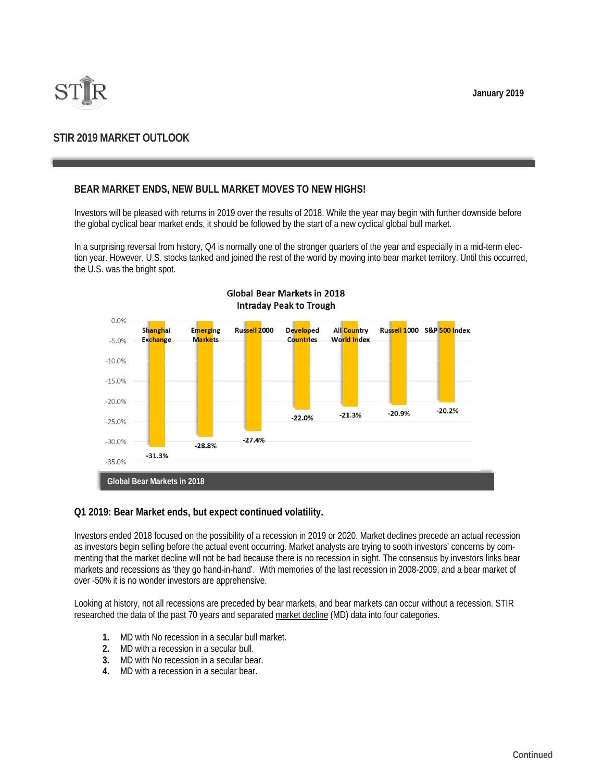**January 2019** 



# **STIR 2019 MARKET OUTLOOK**

# **BEAR MARKET ENDS, NEW BULL MARKET MOVES TO NEW HIGHS!**

Investors will be pleased with returns in 2019 over the results of 2018. While the year may begin with further downside before the global cyclical bear market ends, it should be followed by the start of a new cyclical global bull market.

In a surprising reversal from history, Q4 is normally one of the stronger quarters of the year and especially in a mid-term election year. However, U.S. stocks tanked and joined the rest of the world by moving into bear market territory. Until this occurred, the U.S. was the bright spot.



## **Global Bear Markets in 2018 Intraday Peak to Trough**

#### **Q1 2019: Bear Market ends, but expect continued volatility.**

Investors ended 2018 focused on the possibility of a recession in 2019 or 2020. Market declines precede an actual recession as investors begin selling before the actual event occurring. Market analysts are trying to sooth investors' concerns by commenting that the market decline will not be bad because there is no recession in sight. The consensus by investors links bear markets and recessions as 'they go hand-in-hand'. With memories of the last recession in 2008-2009, and a bear market of over -50% it is no wonder investors are apprehensive.

Looking at history, not all recessions are preceded by bear markets, and bear markets can occur without a recession. STIR researched the data of the past 70 years and separated market decline (MD) data into four categories.

- **1.** MD with No recession in a secular bull market.
- **2.** MD with a recession in a secular bull.
- **3.** MD with No recession in a secular bear.
- **4.** MD with a recession in a secular bear.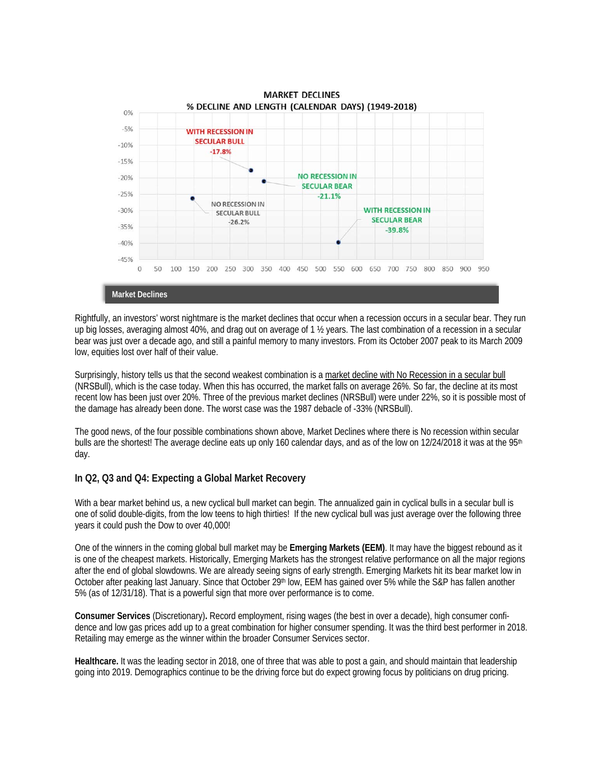

Rightfully, an investors' worst nightmare is the market declines that occur when a recession occurs in a secular bear. They run up big losses, averaging almost 40%, and drag out on average of 1 ½ years. The last combination of a recession in a secular bear was just over a decade ago, and still a painful memory to many investors. From its October 2007 peak to its March 2009 low, equities lost over half of their value.

Surprisingly, history tells us that the second weakest combination is a market decline with No Recession in a secular bull (NRSBull), which is the case today. When this has occurred, the market falls on average 26%. So far, the decline at its most recent low has been just over 20%. Three of the previous market declines (NRSBull) were under 22%, so it is possible most of the damage has already been done. The worst case was the 1987 debacle of -33% (NRSBull).

The good news, of the four possible combinations shown above, Market Declines where there is No recession within secular bulls are the shortest! The average decline eats up only 160 calendar days, and as of the low on 12/24/2018 it was at the 95<sup>th</sup> day.

## **In Q2, Q3 and Q4: Expecting a Global Market Recovery**

With a bear market behind us, a new cyclical bull market can begin. The annualized gain in cyclical bulls in a secular bull is one of solid double-digits, from the low teens to high thirties! If the new cyclical bull was just average over the following three years it could push the Dow to over 40,000!

One of the winners in the coming global bull market may be **Emerging Markets (EEM)**. It may have the biggest rebound as it is one of the cheapest markets. Historically, Emerging Markets has the strongest relative performance on all the major regions after the end of global slowdowns. We are already seeing signs of early strength. Emerging Markets hit its bear market low in October after peaking last January. Since that October 29th low, EEM has gained over 5% while the S&P has fallen another 5% (as of 12/31/18). That is a powerful sign that more over performance is to come.

**Consumer Services** (Discretionary)**.** Record employment, rising wages (the best in over a decade), high consumer confidence and low gas prices add up to a great combination for higher consumer spending. It was the third best performer in 2018. Retailing may emerge as the winner within the broader Consumer Services sector.

**Healthcare.** It was the leading sector in 2018, one of three that was able to post a gain, and should maintain that leadership going into 2019. Demographics continue to be the driving force but do expect growing focus by politicians on drug pricing.